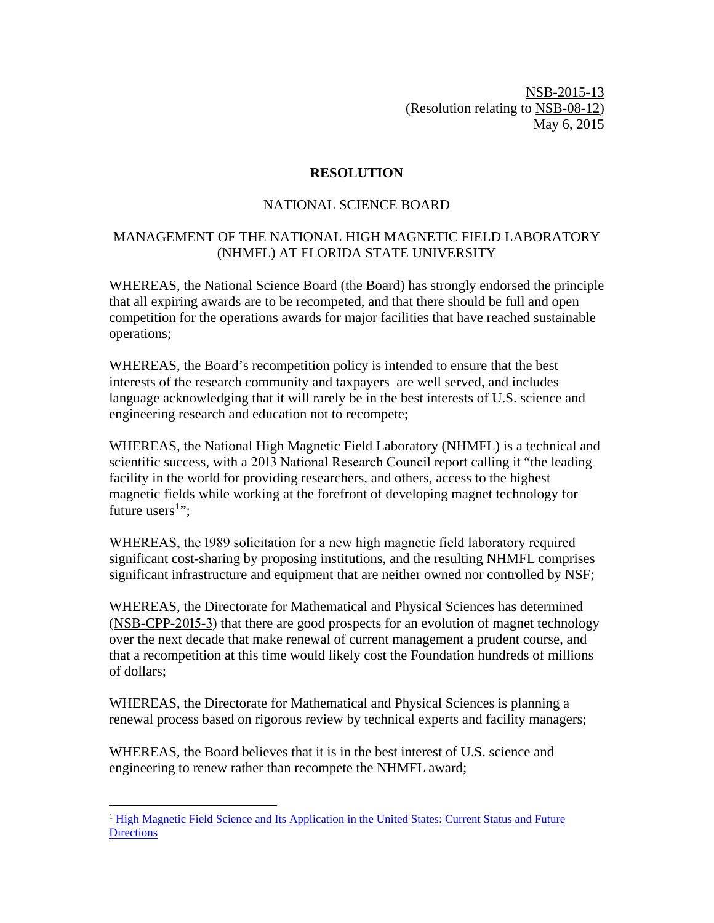NSB-2015-13 (Resolution relating to NSB-08-12) May 6, 2015

## **RESOLUTION**

## NATIONAL SCIENCE BOARD

## MANAGEMENT OF THE NATIONAL HIGH MAGNETIC FIELD LABORATORY (NHMFL) AT FLORIDA STATE UNIVERSITY

WHEREAS, the National Science Board (the Board) has strongly endorsed the principle that all expiring awards are to be recompeted, and that there should be full and open competition for the operations awards for major facilities that have reached sustainable operations;

WHEREAS, the Board's recompetition policy is intended to ensure that the best interests of the research community and taxpayers are well served, and includes language acknowledging that it will rarely be in the best interests of U.S. science and engineering research and education not to recompete;

WHEREAS, the National High Magnetic Field Laboratory (NHMFL) is a technical and scientific success, with a 2013 National Research Council report calling it "the leading facility in the world for providing researchers, and others, access to the highest magnetic fields while working at the forefront of developing magnet technology for future users<sup>[1](#page-0-0)</sup>";

WHEREAS, the 1989 solicitation for a new high magnetic field laboratory required significant cost-sharing by proposing institutions, and the resulting NHMFL comprises significant infrastructure and equipment that are neither owned nor controlled by NSF;

WHEREAS, the Directorate for Mathematical and Physical Sciences has determined (NSB-CPP-2015-3) that there are good prospects for an evolution of magnet technology over the next decade that make renewal of current management a prudent course, and that a recompetition at this time would likely cost the Foundation hundreds of millions of dollars;

WHEREAS, the Directorate for Mathematical and Physical Sciences is planning a renewal process based on rigorous review by technical experts and facility managers;

WHEREAS, the Board believes that it is in the best interest of U.S. science and engineering to renew rather than recompete the NHMFL award;

<span id="page-0-0"></span><sup>&</sup>lt;sup>1</sup> High Magnetic Field Science and Its Application in the United States: Current Status and Future **[Directions](http://www.nap.edu/catalog.php?record_id=18355)**